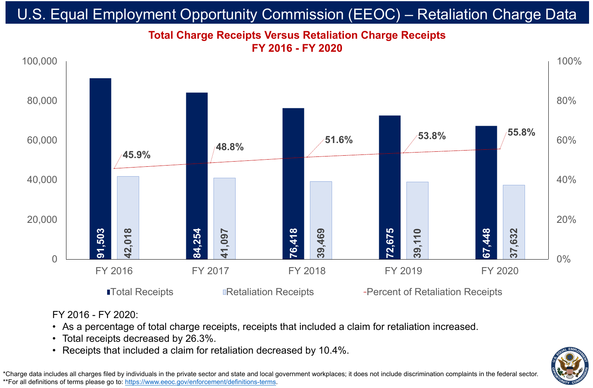

• As a percentage of total charge receipts, receipts that included a claim for retaliation increased. • Total receipts decreased by 26.3%.

# **Total Charge Receipts Versus Retaliation Charge Receipts FY 2016 - FY 2020** U.S. Equal Employment Opportunity Commission (EEOC) – Retaliation Charge Data

\*Charge data includes all charges filed by individuals in the private sector and state and local government workplaces; it does not include discrimination complaints in the federal sector. \*\*For all definitions of terms please go to:<https://www.eeoc.gov/enforcement/definitions-terms>.



## FY 2016 FY 2017 FY 2018 FY 2019 FY 2020

**ITotal Receipts Retaliation Receipts Percent of Retaliation Receipts** 

![](_page_0_Picture_19.jpeg)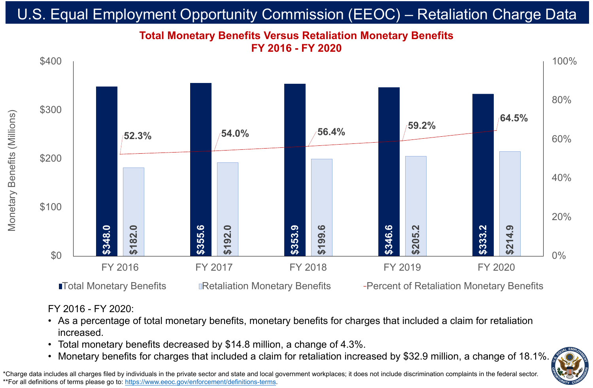FY 2016 - FY 2020:

## • As a percentage of total monetary benefits, monetary benefits for charges that included a claim for retaliation

# • Total monetary benefits decreased by \$14.8 million, a change of 4.3%.<br>• Monetary benefits for charges that included a claim for retaliation increased by \$32.9 million, a change of 18.1%.

![](_page_1_Picture_16.jpeg)

- increased.
- 
- 

# **Total Monetary Benefits Versus Retaliation Monetary Benefits FY 2016 - FY 2020** U.S. Equal Employment Opportunity Commission (EEOC) – Retaliation Charge Data

\*Charge data includes all charges filed by individuals in the private sector and state and local government workplaces; it does not include discrimination complaints in the federal sector. \*\*For all definitions of terms please go to:<https://www.eeoc.gov/enforcement/definitions-terms>.

 $\boxed{9}$ Monetary Benefits (Millions) efits eta

![](_page_1_Figure_1.jpeg)

**ITotal Monetary Benefits Containery Benefits Are are in the Conetary Benefits** Percent of Retaliation Monetary Benefits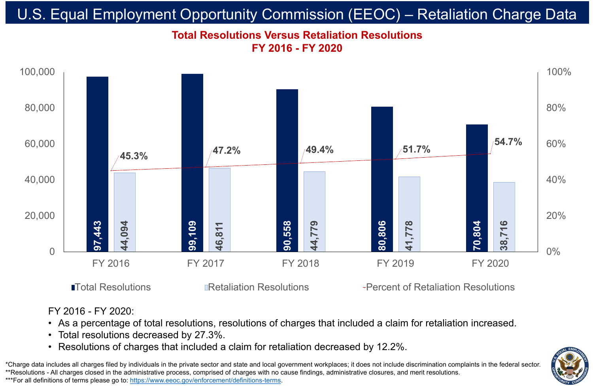![](_page_2_Figure_1.jpeg)

# **Total Resolutions Versus Retaliation Resolutions FY 2016 - FY 2020** U.S. Equal Employment Opportunity Commission (EEOC) – Retaliation Charge Data

\*Charge data includes all charges filed by individuals in the private sector and state and local government workplaces; it does not include discrimination complaints in the federal sector. \*\*Resolutions - All charges closed in the administrative process, comprised of charges with no cause findings, administrative closures, and merit resolutions. \*\*\*For all definitions of terms please go to:<https://www.eeoc.gov/enforcement/definitions-terms>.

## **The Resolutions Pretaliation Resolutions Are all Archives Constrainers** Total Resolutions

![](_page_2_Picture_12.jpeg)

## FY 2016 - FY 2020: • As a percentage of total resolutions, resolutions of charges that included a claim for retaliation increased. • Total resolutions decreased by 27.3%. • Resolutions of charges that included a claim for retaliation decreased by 12.2%.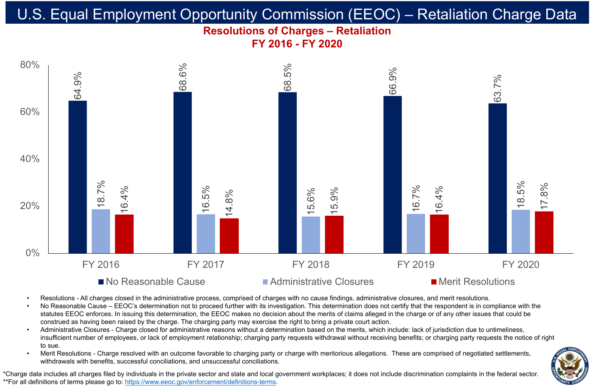## **Resolutions of Charges – Retaliation FY 2016 - FY 2020** U.S. Equal Employment Opportunity Commission (EEOC) – Retaliation Charge Data

\*Charge data includes all charges filed by individuals in the private sector and state and local government workplaces; it does not include discrimination complaints in the federal sector. \*\*For all definitions of terms please go to:<https://www.eeoc.gov/enforcement/definitions-terms>.

![](_page_3_Picture_8.jpeg)

![](_page_3_Figure_1.jpeg)

### ■ No Reasonable Cause ■ Administrative Closures ■ Merit Resolutions

Merit Resolutions - Charge resolved with an outcome favorable to charging party or charge with meritorious allegations. These are comprised of negotiated settlements, withdrawals with benefits, successful conciliations, and unsuccessful conciliations.

![](_page_3_Picture_18.jpeg)

• Resolutions - All charges closed in the administrative process, comprised of charges with no cause findings, administrative closures, and merit resolutions. • No Reasonable Cause – EEOC's determination not to proceed further with its investigation. This determination does not certify that the respondent is in compliance with the statutes EEOC enforces. In issuing this determination, the EEOC makes no decision about the merits of claims alleged in the charge or of any other issues that could be construed as having been raised by the charge. The charging party may exercise the right to bring a private court action. • Administrative Closures - Charge closed for administrative reasons without a determination based on the merits, which include: lack of jurisdiction due to untimeliness, insufficient number of employees, or lack of employment relationship; charging party requests withdrawal without receiving benefits; or charging party requests the notice of right

- 
- 
- to sue.
-